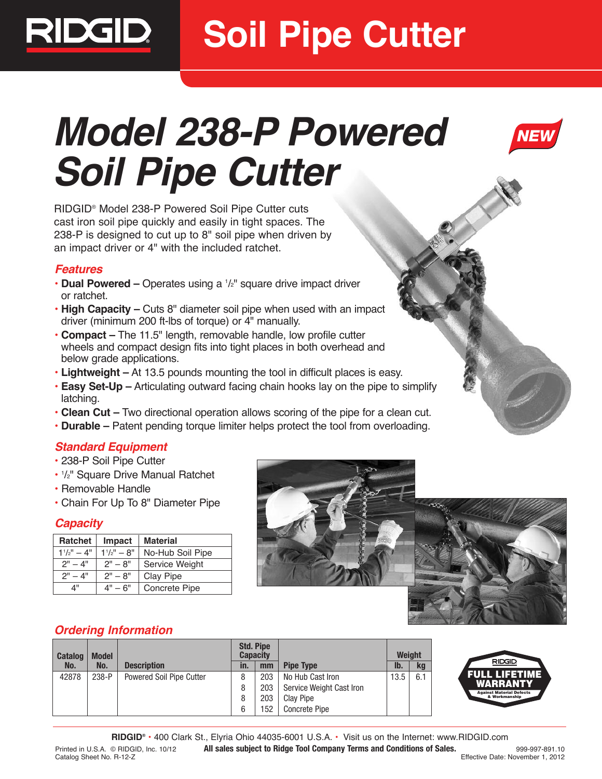

# **Soil Pipe Cutter**

# **Model 238-P Powered Soil Pipe Cutter**

RIDGID® Model 238-P Powered Soil Pipe Cutter cuts cast iron soil pipe quickly and easily in tight spaces. The 238-P is designed to cut up to 8" soil pipe when driven by an impact driver or 4" with the included ratchet.

#### **Features**

- **Dual Powered** Operates using a  $1/z$ " square drive impact driver or ratchet.
- **High Capacity –** Cuts 8" diameter soil pipe when used with an impact driver (minimum 200 ft-lbs of torque) or 4" manually.
- **Compact –** The 11.5" length, removable handle, low profile cutter wheels and compact design fits into tight places in both overhead and below grade applications.
- **Lightweight –** At 13.5 pounds mounting the tool in difficult places is easy.
- **Easy Set-Up –** Articulating outward facing chain hooks lay on the pipe to simplify latching.
- **Clean Cut –** Two directional operation allows scoring of the pipe for a clean cut.
- **Durable –** Patent pending torque limiter helps protect the tool from overloading.

## **Standard Equipment**

- 238-P Soil Pipe Cutter
- 1 /2" Square Drive Manual Ratchet
- Removable Handle
- Chain For Up To 8" Diameter Pipe

#### **Capacity**

| <b>Ratchet</b>  | Impact          | <b>Material</b>       |  |  |
|-----------------|-----------------|-----------------------|--|--|
| $1^{1}/2" - 4"$ | $1^{1}/2" - 8"$ | No-Hub Soil Pipe      |  |  |
| $2" - 4"$       | $2" - 8"$       | <b>Service Weight</b> |  |  |
| $2" - 4"$       | $2" - 8"$       | Clay Pipe             |  |  |
| ⊿"              | $4" - 6"$       | Concrete Pipe         |  |  |





## **Ordering Information**

| <b>Catalog</b> | <b>Model</b> |                          | <b>Std. Pipe</b><br><b>Capacity</b> |     |                          |      | <b>Weight</b> |  |
|----------------|--------------|--------------------------|-------------------------------------|-----|--------------------------|------|---------------|--|
| No.            | No.          | <b>Description</b>       | in.                                 | mm  | <b>Pipe Type</b>         | lb.  | <b>kg</b>     |  |
| 42878          | $238-P$      | Powered Soil Pipe Cutter |                                     | 203 | No Hub Cast Iron         | 13.5 | 6.1           |  |
|                |              |                          | 8                                   | 203 | Service Weight Cast Iron |      |               |  |
|                |              |                          | 8                                   | 203 | <b>Clay Pipe</b>         |      |               |  |
|                |              |                          | 6                                   | 152 | <b>Concrete Pipe</b>     |      |               |  |